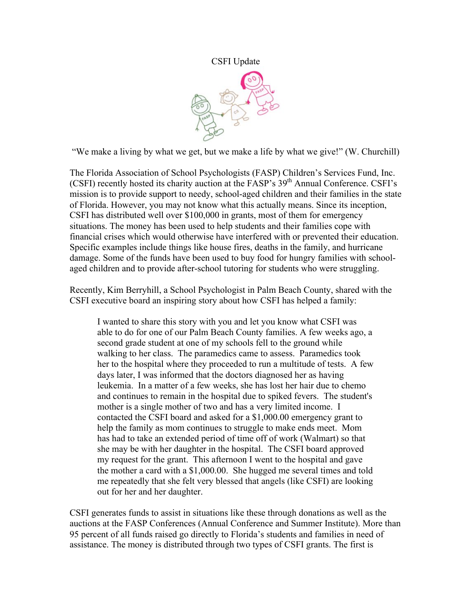## CSFI Update



"We make a living by what we get, but we make a life by what we give!" (W. Churchill)

The Florida Association of School Psychologists (FASP) Children's Services Fund, Inc. (CSFI) recently hosted its charity auction at the FASP's  $39<sup>th</sup>$  Annual Conference. CSFI's mission is to provide support to needy, school-aged children and their families in the state of Florida. However, you may not know what this actually means. Since its inception, CSFI has distributed well over \$100,000 in grants, most of them for emergency situations. The money has been used to help students and their families cope with financial crises which would otherwise have interfered with or prevented their education. Specific examples include things like house fires, deaths in the family, and hurricane damage. Some of the funds have been used to buy food for hungry families with schoolaged children and to provide after-school tutoring for students who were struggling.

Recently, Kim Berryhill, a School Psychologist in Palm Beach County, shared with the CSFI executive board an inspiring story about how CSFI has helped a family:

I wanted to share this story with you and let you know what CSFI was able to do for one of our Palm Beach County families. A few weeks ago, a second grade student at one of my schools fell to the ground while walking to her class. The paramedics came to assess. Paramedics took her to the hospital where they proceeded to run a multitude of tests. A few days later, I was informed that the doctors diagnosed her as having leukemia. In a matter of a few weeks, she has lost her hair due to chemo and continues to remain in the hospital due to spiked fevers. The student's mother is a single mother of two and has a very limited income. I contacted the CSFI board and asked for a \$1,000.00 emergency grant to help the family as mom continues to struggle to make ends meet. Mom has had to take an extended period of time off of work (Walmart) so that she may be with her daughter in the hospital. The CSFI board approved my request for the grant. This afternoon I went to the hospital and gave the mother a card with a \$1,000.00. She hugged me several times and told me repeatedly that she felt very blessed that angels (like CSFI) are looking out for her and her daughter.

CSFI generates funds to assist in situations like these through donations as well as the auctions at the FASP Conferences (Annual Conference and Summer Institute). More than 95 percent of all funds raised go directly to Florida's students and families in need of assistance. The money is distributed through two types of CSFI grants. The first is